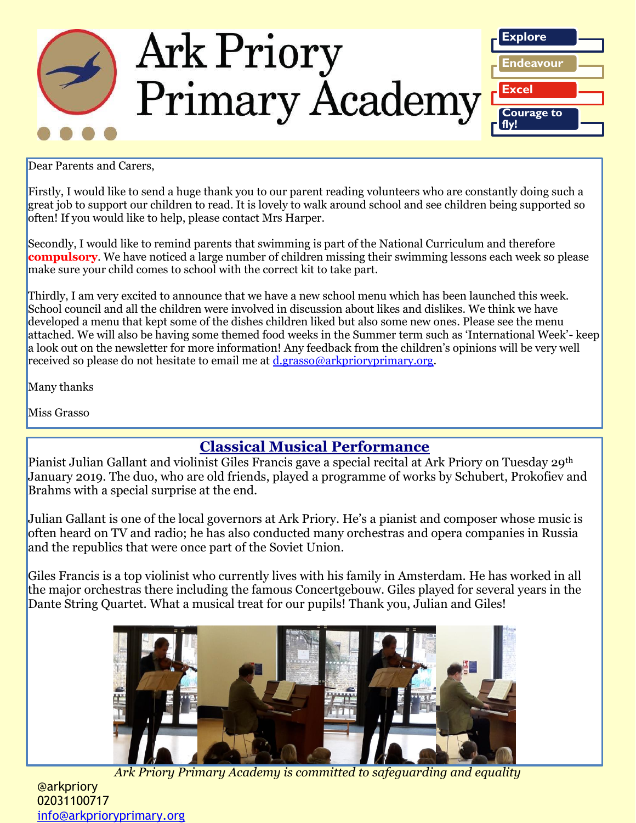

Dear Parents and Carers,

Firstly, I would like to send a huge thank you to our parent reading volunteers who are constantly doing such a great job to support our children to read. It is lovely to walk around school and see children being supported so often! If you would like to help, please contact Mrs Harper.

Secondly, I would like to remind parents that swimming is part of the National Curriculum and therefore **compulsory**. We have noticed a large number of children missing their swimming lessons each week so please make sure your child comes to school with the correct kit to take part.

Thirdly, I am very excited to announce that we have a new school menu which has been launched this week. School council and all the children were involved in discussion about likes and dislikes. We think we have developed a menu that kept some of the dishes children liked but also some new ones. Please see the menu attached. We will also be having some themed food weeks in the Summer term such as 'International Week'- keep a look out on the newsletter for more information! Any feedback from the children's opinions will be very well received so please do not hesitate to email me at [d.grasso@arkprioryprimary.org.](mailto:d.grasso@arkprioryprimary.org)

Many thanks

Miss Grasso

### **Classical Musical Performance**

Pianist Julian Gallant and violinist Giles Francis gave a special recital at Ark Priory on Tuesday 29th January 2019. The duo, who are old friends, played a programme of works by Schubert, Prokofiev and Brahms with a special surprise at the end.

Julian Gallant is one of the local governors at Ark Priory. He's a pianist and composer whose music is often heard on TV and radio; he has also conducted many orchestras and opera companies in Russia and the republics that were once part of the Soviet Union.

Giles Francis is a top violinist who currently lives with his family in Amsterdam. He has worked in all the major orchestras there including the famous Concertgebouw. Giles played for several years in the Dante String Quartet. What a musical treat for our pupils! Thank you, Julian and Giles!



*Ark Priory Primary Academy is committed to safeguarding and equality* 

@arkpriory 02031100717 [info@arkprioryprimary.org](mailto:info@arkprioryprimary.org)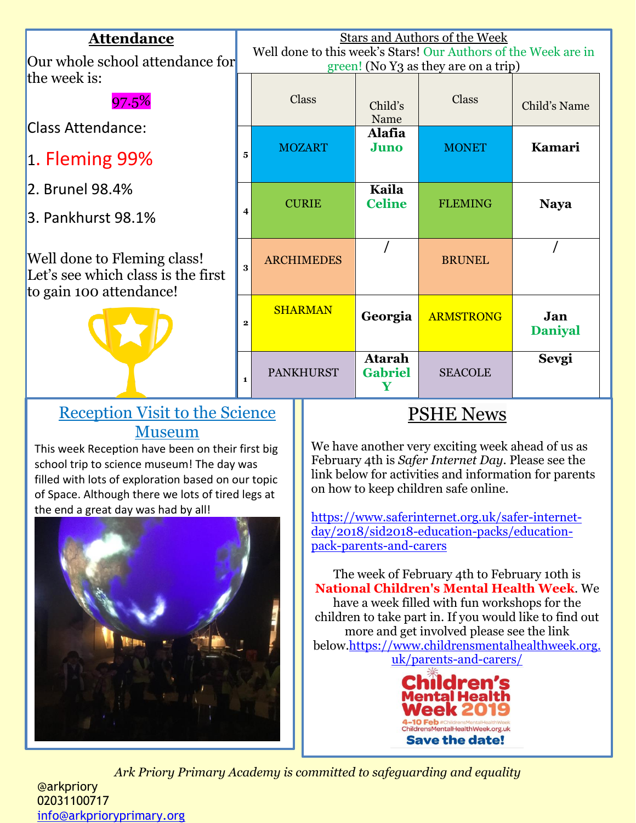| <b>Attendance</b><br>Our whole school attendance for                                         |   | <b>Stars and Authors of the Week</b><br>Well done to this week's Stars! Our Authors of the Week are in<br>green! (No Y3 as they are on a trip) |               |                                      |                  |                       |  |
|----------------------------------------------------------------------------------------------|---|------------------------------------------------------------------------------------------------------------------------------------------------|---------------|--------------------------------------|------------------|-----------------------|--|
| the week is:<br>97.5%                                                                        |   |                                                                                                                                                | Class         | Child's<br>Name                      | Class            | Child's Name          |  |
| <b>Class Attendance:</b><br>$\vert$ 1. Fleming 99%                                           | 5 |                                                                                                                                                | <b>MOZART</b> | <b>Alafia</b><br>Juno                | <b>MONET</b>     | Kamari                |  |
| 2. Brunel 98.4%<br>3. Pankhurst 98.1%                                                        | 4 |                                                                                                                                                | <b>CURIE</b>  | Kaila<br><b>Celine</b>               | <b>FLEMING</b>   | <b>Naya</b>           |  |
| Well done to Fleming class!<br>Let's see which class is the first<br>to gain 100 attendance! |   | <b>ARCHIMEDES</b>                                                                                                                              |               |                                      | <b>BRUNEL</b>    |                       |  |
|                                                                                              |   | <b>SHARMAN</b>                                                                                                                                 |               | Georgia                              | <b>ARMSTRONG</b> | Jan<br><b>Daniyal</b> |  |
|                                                                                              |   | <b>PANKHURST</b>                                                                                                                               |               | <b>Atarah</b><br><b>Gabriel</b><br>Y | <b>SEACOLE</b>   | <b>Sevgi</b>          |  |
| <b>Reception Visit to the Science</b>                                                        |   |                                                                                                                                                |               | PSHE News                            |                  |                       |  |

# Museum

This week Reception have been on their first big school trip to science museum! The day was filled with lots of exploration based on our topic of Space. Although there we lots of tired legs at the end a great day was had by all!



We have another very exciting week ahead of us as February 4th is *Safer Internet Day*. Please see the link below for activities and information for parents on how to keep children safe online.

[https://www.saferinternet.org.uk/safer-internet](https://www.saferinternet.org.uk/safer-internet-day/2018/sid2018-education-packs/education-pack-parents-and-carers)[day/2018/sid2018-education-packs/education](https://www.saferinternet.org.uk/safer-internet-day/2018/sid2018-education-packs/education-pack-parents-and-carers)[pack-parents-and-carers](https://www.saferinternet.org.uk/safer-internet-day/2018/sid2018-education-packs/education-pack-parents-and-carers)

The week of February 4th to February 10th is **National Children's Mental Health Week**. We have a week filled with fun workshops for the children to take part in. If you would like to find out more and get involved please see the link below[.https://www.childrensmentalhealthweek.org.](https://www.childrensmentalhealthweek.org.uk/parents-and-carers/) [uk/parents-and-carers/](https://www.childrensmentalhealthweek.org.uk/parents-and-carers/)



*Ark Priory Primary Academy is committed to safeguarding and equality* 

@arkpriory 02031100717 [info@arkprioryprimary.org](mailto:info@arkprioryprimary.org)